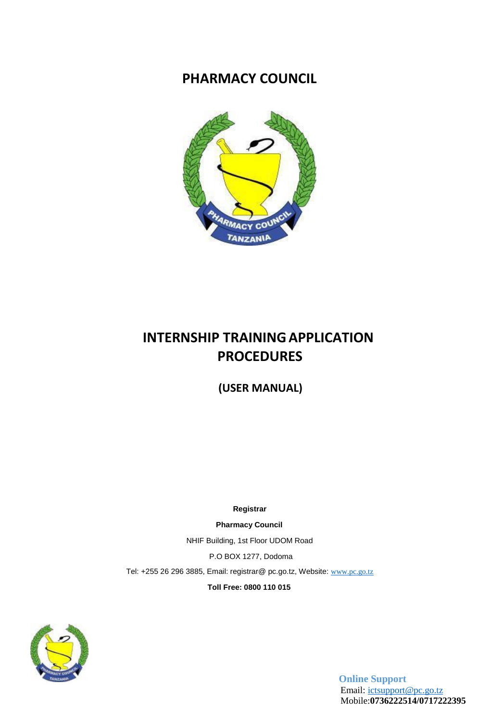## **PHARMACY COUNCIL**



# **INTERNSHIP TRAININGAPPLICATION PROCEDURES**

 **(USER MANUAL)**

**Registrar**

**Pharmacy Council**

NHIF Building, 1st Floor UDOM Road P.O BOX 1277, Dodoma Tel: +255 26 296 3885, Email: registrar@ pc.go.tz, Website: [www.pc.go.tz](http://www.pc.go.tz/)

**Toll Free: 0800 110 015**



**Online Support** Email: [ictsupport@pc.go.tz](mailto:ictsupport@pc.go.tz) Mobile:**0736222514/0717222395**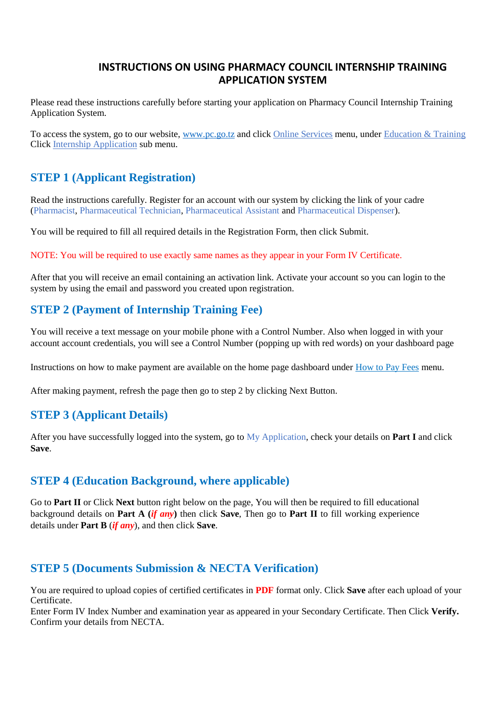#### **INSTRUCTIONS ON USING PHARMACY COUNCIL INTERNSHIP TRAINING APPLICATION SYSTEM**

Please read these instructions carefully before starting your application on Pharmacy Council Internship Training Application System.

To access the system, go to our website, www.pc.go.tz and click Online Services menu, under Education & Training Click Internship Application sub menu.

## **STEP 1 (Applicant Registration)**

Read the instructions carefully. Register for an account with our system by clicking the link of your cadre (Pharmacist, Pharmaceutical Technician, Pharmaceutical Assistant and Pharmaceutical Dispenser).

You will be required to fill all required details in the Registration Form, then click Submit.

NOTE: You will be required to use exactly same names as they appear in your Form IV Certificate.

After that you will receive an email containing an activation link. Activate your account so you can login to the system by using the email and password you created upon registration.

## **STEP 2 (Payment of Internship Training Fee)**

You will receive a text message on your mobile phone with a Control Number. Also when logged in with your account account credentials, you will see a Control Number (popping up with red words) on your dashboard page

Instructions on how to make payment are available on the home page dashboard under How to Pay Fees menu.

After making payment, refresh the page then go to step 2 by clicking Next Button.

#### **STEP 3 (Applicant Details)**

After you have successfully logged into the system, go to My Application, check your details on **Part I** and click **Save**.

#### **STEP 4 (Education Background, where applicable)**

Go to **Part II** or Click **Next** button right below on the page, You will then be required to fill educational background details on **Part A (***if any***)** then click **Save**, Then go to **Part II** to fill working experience details under **Part B** (*if any*), and then click **Save**.

#### **STEP 5 (Documents Submission & NECTA Verification)**

You are required to upload copies of certified certificates in **PDF** format only. Click **Save** after each upload of your Certificate.

Enter Form IV Index Number and examination year as appeared in your Secondary Certificate. Then Click **Verify.** Confirm your details from NECTA.